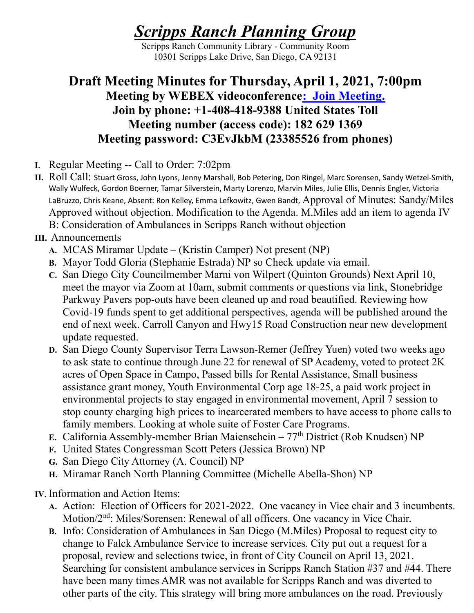## Scripps Ranch Planning Group

Scripps Ranch Community Library - Community Room 10301 Scripps Lake Drive, San Diego, CA 92131

## Draft Meeting Minutes for Thursday, April 1, 2021, 7:00pm Meeting by WEBEX videoconference: Join Meeting. Join by phone: +1-408-418-9388 United States Toll Meeting number (access code): 182 629 1369 Meeting password: C3EvJkbM (23385526 from phones)

- I. Regular Meeting -- Call to Order: 7:02pm
- II. Roll Call: Stuart Gross, John Lyons, Jenny Marshall, Bob Petering, Don Ringel, Marc Sorensen, Sandy Wetzel-Smith, Wally Wulfeck, Gordon Boerner, Tamar Silverstein, Marty Lorenzo, Marvin Miles, Julie Ellis, Dennis Engler, Victoria LaBruzzo, Chris Keane, Absent: Ron Kelley, Emma Lefkowitz, Gwen Bandt, Approval of Minutes: Sandy/Miles Approved without objection. Modification to the Agenda. M.Miles add an item to agenda IV B: Consideration of Ambulances in Scripps Ranch without objection
- III. Announcements
	- A. MCAS Miramar Update (Kristin Camper) Not present (NP)
	- B. Mayor Todd Gloria (Stephanie Estrada) NP so Check update via email.
	- C. San Diego City Councilmember Marni von Wilpert (Quinton Grounds) Next April 10, meet the mayor via Zoom at 10am, submit comments or questions via link, Stonebridge Parkway Pavers pop-outs have been cleaned up and road beautified. Reviewing how Covid-19 funds spent to get additional perspectives, agenda will be published around the end of next week. Carroll Canyon and Hwy15 Road Construction near new development update requested.
	- D. San Diego County Supervisor Terra Lawson-Remer (Jeffrey Yuen) voted two weeks ago to ask state to continue through June 22 for renewal of SP Academy, voted to protect 2K acres of Open Space in Campo, Passed bills for Rental Assistance, Small business assistance grant money, Youth Environmental Corp age 18-25, a paid work project in environmental projects to stay engaged in environmental movement, April 7 session to stop county charging high prices to incarcerated members to have access to phone calls to family members. Looking at whole suite of Foster Care Programs.
	- E. California Assembly-member Brian Maienschein  $77<sup>th</sup>$  District (Rob Knudsen) NP
	- F. United States Congressman Scott Peters (Jessica Brown) NP
	- G. San Diego City Attorney (A. Council) NP
	- H. Miramar Ranch North Planning Committee (Michelle Abella-Shon) NP
- IV. Information and Action Items:
	- A. Action: Election of Officers for 2021-2022. One vacancy in Vice chair and 3 incumbents. Motion/2nd: Miles/Sorensen: Renewal of all officers. One vacancy in Vice Chair.
	- B. Info: Consideration of Ambulances in San Diego (M.Miles) Proposal to request city to change to Falck Ambulance Service to increase services. City put out a request for a proposal, review and selections twice, in front of City Council on April 13, 2021. Searching for consistent ambulance services in Scripps Ranch Station #37 and #44. There have been many times AMR was not available for Scripps Ranch and was diverted to other parts of the city. This strategy will bring more ambulances on the road. Previously